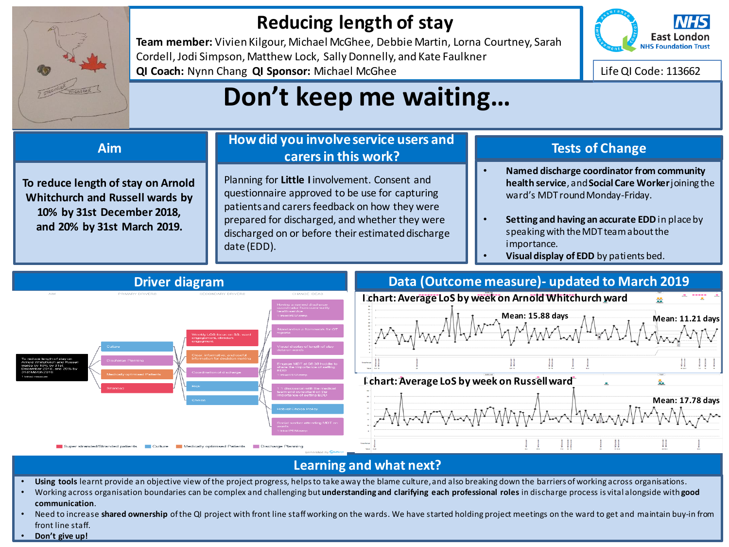

## **Reducing length of stay**

**Team member:** Vivien Kilgour, Michael McGhee, Debbie Martin, Lorna Courtney, Sarah Cordell, Jodi Simpson, Matthew Lock, Sally Donnelly, and Kate Faulkner **QI Coach:** Nynn Chang **QI Sponsor:** Michael McGhee



Life QI Code: 113662

## **Don't keep me waiting…**

**To reduce length of stay on Arnold Whitchurch and Russell wards by 10% by 31st December 2018, and 20% by 31st March 2019.** 

### **How did you involve service users and carers in this work? Aim Tests of Change**

Planning for **Little I** involvement. Consent and questionnaire approved to be use for capturing patients and carers feedback on how they were prepared for discharged, and whether they were discharged on or before their estimated discharge date (EDD).

- **Named discharge coordinator from community health service**, and **Social Care Worker** joining the ward's MDT round Monday-Friday.
- **Setting and having an accurate EDD** in place by speaking with the MDT team about the importance.
- **Visual display of EDD** by patients bed.



### **Learning and what next?**

- **Using tools** learnt provide an objective view of the project progress, helps to take away the blame culture, and also breaking down the barriers of working across organisations.
- Working across organisation boundaries can be complex and challenging but **understanding and clarifying each professional roles** in discharge process is vital alongside with **good communication**.
- Need to increase **shared ownership** of the QI project with front line staff working on the wards. We have started holding project meetings on the ward to get and maintain buy-in from front line staff.
- **Don't give up!**